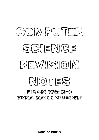# COMPUIER SCIENICE **LIEWISION** MOITES FOR OCR GCSE (9-1)

SIMPLE, CLEAR & MEMORABLE

**Ronaldo Butrus**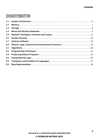## **CONTENTS**

| 1.1   |  |
|-------|--|
| $1.2$ |  |
| 1.3   |  |
| 1.4   |  |
| 1.5   |  |
| 1.6   |  |
| 1.7   |  |
| 1.8   |  |
| 2.1   |  |
| 2.2   |  |
| 2.3   |  |
| 2.4   |  |
| 2.5   |  |
| 2.6   |  |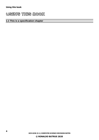## **USING THIS BOOK**

#### **1.1 This is a specification chapter**

**OCR GCSE (9-1) COMPUTER SCIENCE REVISION NOTES © RONALDO BUTRUS 2020**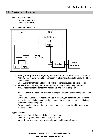#### <span id="page-4-0"></span>**1.1 System Architecture**

- The purpose of the CPU:
	- executes programs
	- manages hardware
- Von Neumann Architecture:



- **MAR (Memory Address Register):** holds address of instruction/data to be fetched
- **MDR (Memory Data Register):** temporarily holds instruction/data just fetched from main memory
- **CIR (Current Instruction Register):** holds current instruction being executed
- **PC (Program Counter):** holds address of next instruction to be processed
- **ACC (Accumulator):** temporarily holds data and results of operations
- **ALU (Arithmetic Logic Unit):** carries out logical, shift and arithmetic operations on data
- **CU (Control Unit):** coordinates activities in the CPU, by decoding and executing instructions, regulating processor timing, and sends/receives control signals from other parts of the computer
- **Cache:** special high-speed memory that stores recently used and frequently used instructions/data
- Types of cache:
	- **Level 1:** extremely fast, small, holds instructions
	- Level 2: fairly fast and medium sized, holds data
	- Level 3: fast and larger, improves performance of L1 and L2 cache

**OCR GCSE (9-1) COMPUTER SCIENCE REVISION NOTES © RONALDO BUTRUS 2020**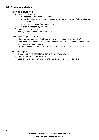#### **1.1 - Systems Architecture**

- The fetch-execute cycle:
	- 1. Instruction is fetched:
		- address copied from PC to MAR
		- PC incremented and instruction copied from main memory (address in MAR) to MDR
		- **E** instruction copied from MDR to CIR
	- 2. Instruction is decoded by the CU
	- 3. Instruction is executed
	- 4. The cycle repeats using the address in PC
- Factors affecting CPU performance:
	- **clock speed:** number of fetch-execute cycles per second, in Hertz (Hz)
	- **cache size:** more cache means faster access to frequently used instructions and less access to main memory
	- **number of cores:** more cores allow simultaneous execution of instructions
- Embedded systems:
	- a computer system that forms part of an electronic device
	- used to perform simple, repeated tasks
	- used in: car stereos, aircrafts, ovens, microwaves, fridges, televisions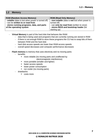#### <span id="page-6-0"></span>**1.2 Memory**

| <b>RAM (Random Access Memory)</b>                  | <b>ROM (Read Only Memory)</b>                  |
|----------------------------------------------------|------------------------------------------------|
| - volatile (data is lost when power is turned off) | - non-volatile (data is not lost when power is |
| - can be written to or read from                   | turned off)                                    |
| - stores running programs, data, and parts         | - can only be read from (written to once)      |
| of the operating system                            | - stores BIOS and bootstrap loader (for        |
|                                                    | starting up)                                   |

- **Virtual Memory** is part of the hard disk that behaves like RAM:
	- data that is being used and programs that are currently running are stored in RAM
	- if there is not enough RAM to store these programs the CU has to swap bits of them between RAM and the hard disk
	- hard disk access speeds are lower than RAM access speeds
	- overall speed decreases and computer performance decreases
- **Flash memory** is memory that uses electricity and no moving parts:
	- benefits:
		- more reliable (no moving parts and unaffected by electromagnetic interference)
		- more portable (smaller and lighter)
		- faster access speeds
		- lower power consumption
		- run cooler (no moving parts)
	- drawbacks:
		- costs more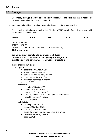#### **1.3 – Storage**

#### <span id="page-7-0"></span>**1.3 Storage**

- **Secondary storage** is non-volatile, long term storage, used to store data that is needed to be saved, even after the power is turned off.
- You need to be able to calculate the required capacity of a storage device.

E.g. if you have **250 images**, each with a **file size of 3MB**, which of the following sizes will be the most suitable to use?

| <b>250MB</b> | <b>10KB</b> | 3TB | 1GB | 5GB |
|--------------|-------------|-----|-----|-----|
|              |             |     |     |     |

 $250 \times 3 = 750MB$ 750MB = 0.75GB 250MB and 10KB are too small; 3TB and 5GB and too big **1GB is just right.**

**sound file size = sample rate x duration x bit depth image file size = colour depth x image height x image width text file size = bits per character x number of characters**

- Types of secondary storage:
	- **optical:**
		- capacity: 500MB to 25GB
		- speed: *7MB to 50 MB/s*
		- portability: *easy to carry around*
		- durability: *easily scratched*
		- reliability: *degrades over time*
		- cost: *2p/GB*
	- **magnetic:**
		- capacity: 500MB to 6TB
		- speed: *500MB to 3GB/s*
		- portability: *fits large pocket*
		- durability: *affected by electromagnetic interference*
		- reliability: *extremely reliable*
		- cost: *0.03p/GB*
	- **solid state:**
		- capacity: 2GB to 2TB
		- speed: *500MB to 6GB/s*
		- portability: *small and light*
		- durability: *unaffected by magnetism and drops*
		- reliability: *extremely reliable*
		- cost: *25p/GB*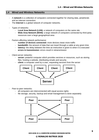#### <span id="page-8-0"></span>**1.4 Wired and Wireless Networks**

- A **network** is a collection of computers connected together for sharing data, peripherals and an internet connection.
- The **Internet** is a global network of computer networks.
- Types of networks:
	- Local Area Network (LAN): a network of computers on the same site
	- Wide Area Network (WAN): a large network of computers connected by third party resources over a large geographical area
- Factors affecting network performance:
	- number of devices connected: more devices mean more traffic
	- **bandwidth:** the amount of data that can travel through a cable at any given time
	- **latency:** the delay between the time an instruction is given to when it is executed
	- **errors in transmission:** errors result in retransmission
- Client-server networks:
	- server: powerful computer which provides services or resources, such as storing files, hosting a website, distributing emails and security
	- **client:** a computer used by a user, requesting services from the server



- Peer-to-peer networks:
	- all computers are interconnected with equal access rights
	- file storage, security, backup and email management is done separately

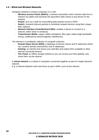#### **1.4 – Wired and Wireless Networks**

- Hardware needed to connect computers in a LAN:
	- **Wireless Access Points (WAPs):** a wireless transmitter which receives data from a network via cables and transmits the equivalent radio waves to any device on the network
	- **Router:** acts as a node for transmitting data packets across a WAN
	- **Switch:** forwards inbound packets to individual recipient devices using their unique MAC address
	- **Network Interface Controller/Card (NIC):** enables a device to connect to a network, either wired or wirelessly
	- **Transmission Media:** copper cables (cheapest), fibre optic cables (high bandwidth, strong, unaffected by electromagnetic interference)
- The internet is a worldwide collection of computer networks:
	- **Domain Name Server (DNS):** a database of domain names and IP addresses which can converts domain names/URLs into IP addresses
	- **Hosting:** an internet host stores your web files and makes them available to other Internet-connected devices
	- **The Cloud:** an offline storage method so you can access your files globally, and share them via the Internet
- A **virtual network** is a subset of computers connected together as part of a larger physical network.
- E.g. a network between work and home as part a WAN, such as the Internet.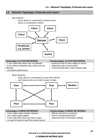#### <span id="page-10-0"></span>**1.5 Network Topologies, Protocols and Layers**

- Star network:
	- every device is connected to central server
	- server is connected to switch



| <b>Advantages of STAR NETWORKS</b>               | <b>Disadvantages of STAR NETWORKS</b>          |
|--------------------------------------------------|------------------------------------------------|
| - if one cable fails others are not affected     | - expensive due to extra cables to server      |
| - if one client (computer) fails, others are not | - expensive due to extra switch                |
| affected                                         | - if server/switch fails, entire network fails |
| - consistent performance                         |                                                |

- Mesh networks:
	- every device is connected to every other device
	- each device acts as a node to pass on data



| <b>Advantages of MESH NETWORKS</b>             | <b>Disadvantages of MESH NETWORKS</b> |
|------------------------------------------------|---------------------------------------|
| - more nodes mean a faster network             | - difficult and slow to construct     |
| - new nodes easily added                       | - hard to maintain/administer         |
| - if one node fails, there are other routes    | - expensive due to excessive cabling  |
| - no need to travel to and from central server |                                       |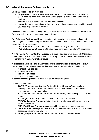#### **1.5 – Network Topologies, Protocols and Layers**

- **Wi-Fi (Wireless Fidelity)** features:
	- **frequencies:** 2.4GHz (greater coverage, but less non-overlapping channels) or 5GHz (less crowded, more non-overlapping channels, but not compatible with all devices)
	- **channels:** a 'sub-frequency' with different bandwidths
	- **encryption:** converting plaintext into ciphertext using an encryption algorithm, which you need a special key to reverse
- **Ethernet** is a family of networking protocols which define how devices should format data for transmission between computers on a network.
- An **IP (Internet Protocol) address** is a unique address given to a networked computer, that changes as location changes. It is used to identify the network a computer is connected to and track its whereabouts.
	- **IPv4 (numeric):** uses a 32-bit address scheme allowing for 2<sup>32</sup> addresses
	- **IPv6 (alphanumeric):** uses a 128-bit address scheme allowing for 2<sup>128</sup> addresses
- A **MAC (Media Access Control) address** is a unique address given to each NIC that does not change. It is used for forwarding inbound data packets to the intended recipients and for identifying the manufacturer of a product.
- A **protocol** is a principle of a standard to provide rules for areas of computing to allow hardware/software to interact across different manufacturers/producers, including:
	- format of data packets
	- addressing system
	- transmission speed
	- error-checking procedures
- A **communication protocol** is a set of rules for transferring data.
- Commonly used protocols:
	- **TCP/IP (Transmission Control Protocol/Internet Protocol):** defines how messages are broken down and reassembled at their destination and dealing with errors, as well as the route to take
	- **HTTP (Hyper Text Transfer Protocol):** for requesting and receiving access to web pages
	- **HTTPS (HTTP Secure):** encrypts web data to protect from hacks
	- **FTP (File Transfer Protocol):** defines how files are transferred between client and server in networks
	- **POP (Post Office Protocol):** receives and holds emails on a single device
	- **IMAP (Internet Message Access Protocol):** receives and holds emails on a server accessible from multiple devices
	- **SMTP (Simple Mail Transfer Protocol):** sends emails between servers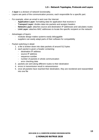#### **1.5 – Network Topologies, Protocols and Layers**

- A **layer** is a division of network functionality.
- Layers are parts of the communication process, each responsible for a specific part.
- For example, when an email is sent over the Internet:
	- **Application Layer:** formatting data for application that receives it
	- **Transport Layer:** divides data into packets and assigns headers
	- **Network Layer:** attaches source and destination IP addresses and calculates routes
	- **Link Layer:** attaches MAC addresses to locate the specific recipient on the network
- Advantages of layers:
	- modular design makes systems easily debuggable
	- suppliers can easily adapt parts of their software for compatibility
- Packet switching in detail:
	- 1. a file is broken down into data packets of around 512 bytes
	- 2. each packet is given a header containing:
		- destination IP address
		- source IP address
		- sequence number
		- number of packets in whole communication
		- error checking data
	- 3. packets are sent along different routes to their destination
	- 4. errors in transmission result in retransmission
	- 5. once all packets have reached their destination, they are reordered and reassembled into one file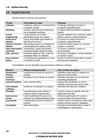#### <span id="page-13-0"></span>**1.6 System Security**

- Threats posed to devices and systems:

| <b>Threat</b>        | How attack is used                   | <b>Purpose</b>                           |
|----------------------|--------------------------------------|------------------------------------------|
| malware              | malicious software is entered into a | to disrupt, damage or access a           |
|                      | computer system                      | computer system/network                  |
| phishing             | emails, calls and texts claiming to  | to obtain personal details or payment    |
|                      | be a reputable authority             | details                                  |
| social               | using humans as a weak               | to pass malware into a network, obtain   |
| engineering          | penetration point of a system        | data or access a system/network          |
| brute force          | trying all possible login details to | to access an online account or           |
| <b>attacks</b>       | get into an account                  | computer system/network                  |
| denial of service    | preventing access to a website by    | to prevent lawful access to a service,   |
| <b>attacks</b>       | overloading with useless traffic     | system or network                        |
| data interception    | shouldering, signal interception,    | to access a network, system or           |
| and theft            | looking through rubbish for data     | personal data                            |
| <b>SQL</b> injection | inserting malicious SQL code into    | to access a database, corrupt websites,  |
|                      | database fields on websites          | or spread viruses                        |
| poor network         | not setting strict guidelines on how | results in hackers being able to exploit |
| policy               | a network is used                    | this security weakness                   |

- Vulnerabilities can be identified and prevented by different methods:

| <b>Method</b>    | <b>What it limits/prevents</b>      | How it limits the attack                |
|------------------|-------------------------------------|-----------------------------------------|
| penetration      | unauthorised access to device or    | identifies weak points in network for   |
| testing          | system                              | them to be prevented                    |
| network          | fraudulent use of device or system  | identifies improper use of networks,    |
| forensics        |                                     | including perpetrators                  |
| network policies | poor network policy                 | setting strict guidelines on how a      |
|                  |                                     | network may and may not be used         |
| anti-malware     | existence of malware in a system    | identifies and destroys malware         |
| software         |                                     |                                         |
| firewalls        | unauthorised access to/from a       | restricts access to specific web site   |
|                  | network to/from internet sites      | addresses and files                     |
| user access      | users exploiting full access to a   | enforces permissions for users to       |
| levels           | network by modifying/deleting files | access/modify only relevant files       |
| passwords        | unauthorised access to device or    | verifies user by comparing unique login |
|                  | system                              | details to those stored in database     |
| encryption       | data interception                   | enciphers transmitted data to make it   |
|                  |                                     | unintelligible to interceptors          |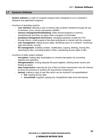#### <span id="page-14-0"></span>**1.7 Systems Software**

- **System software** is a type of computer program that is designed to run a computer's hardware and application programs.
- Functions of operating systems:
	- user interface: allowing a user to interact with computer hardware through the use of windows, icons, menus and pointers (WIMP)
	- **memory management/multitasking:** holds several programs in memory simultaneously and frees up space when a program is terminated
	- **peripheral management and drivers:** managing hardware outside the CPU through drivers, small programs that allow peripherals to interact with the computer
	- **user management:** setting access rights, identifying users on a network, monitoring login and activity, security
	- **file management:** enabling creation, modification, copying, deleting, moving files, searching for files, recording location of files, maintaining access rights to files
- Functions of utility system software:
	- **encryption:** making data meaningless to criminal interceptors by converting plaintext into ciphertext
	- **defragmentation:** moving separate file parts together, allowing faster access and freeing up space
	- data compression: reducing the size of files for faster transmission over the Internet by lossy (for pictures) or lossless (for documents) compression
		- **backup:** making a copy of user files which can be restored if corrupted/deleted
			- **full:** copying all user data
			- **EXTEREMENTAL:** regularly copying any changed/new data since last backup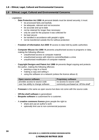#### **1.8 – Ethical, Legal, Cultural and Environmental Concerns**

#### <span id="page-15-0"></span>**1.8 Ethical, Legal, Cultural and Environmental Concerns**

- Legislation:
	- **Data Protection Act 1998**  $\rightarrow$  personal details must be stored securely; it must:
		- be processed fairly and lawfully
		- be adequate, relevant and not excessive
		- be accurate and up-to-date
		- not be retained for longer than necessary
		- only be used for the purpose it was collected for
		- be kept secure
		- be handled in accordance with people's rights
		- not be transferred outside the EU without protection
	- **Freedom of Information Act 2000** → access to data held by public authorities
	- **Computer Misuse Act 1990** → prevents unauthorised access to programs or data, making the following offences:
		- unauthorised access to computer material
		- unauthorised access with intent to commit/facilitate a crime
		- unauthorised modification of computer material
	- **Copyright Designs and Patent Act 1988** → prevents illegal copying and protects the author, making the following offences:
		- passing a copy to a friend
		- making a copy and selling it
		- using the software on a network (unless the licence allows it)

| Open source software                | <b>Proprietary software</b>           |
|-------------------------------------|---------------------------------------|
| provides access to source code      | no access to source code              |
| user has ability to change software | commonly purchased as 'off-the-shelf' |

- **Freeware** is the same as open source but does not come with the source code.
- **Off-the-shelf software** is generalised.
- **Bespoke software** is customised for a customer.
- A **creative commons licence** gives people the right to:
	- share and use an author's work
	- optionally limit use to non-commercial purposes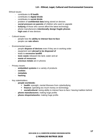Ethical issues:

- contributes to **ill health**
- contributes to **digital divide**
- contributes to **social divide**
- problem of **confidential data** being stored on devices
- **social pressure on parents** of children who want to upgrade
- **bullying** of those who cannot afford the latest technology
- phone manufacturers **intentionally design fragile phones**
- **high cost** of new devices
- Cultural issues:
	- people lose the **ability to interact face-to-face**
	- people can **rate others**
- Environmental issues:
	- people **dispose of devices** even if they are in working order
	- equipment sent **abroad to be disposed of**
	- leads to **excessive landfill**
	- **toxic waste** released into land, water and air
	- **waste of resources**
	- **precious metals** are in phones
- Privacy issues:
	- **embedded systems** in a variety of products
	- **cookies**
	- **metadata**
	- **hacking**
- Key stakeholders:
	- **people worldwide:**
		- **health:** eyesight, mental illnesses from cyberbullying
		- **finance:** spending too much money on technology
		- **EXP** social/cultural: losing ability to interact face-to-face / leaving tradition behind
	- **phone manufacturers:** making huge profits
	- **phone shops/networks:** making huge profits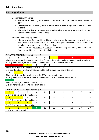#### **2.1 – Algorithms**

#### <span id="page-17-0"></span>**2.1 Algorithms**

- Computational thinking:
	- abstraction: removing unnecessary information from a problem to make it easier to solve
	- **decomposition:** breaking down a problem into smaller subparts to make it simpler to solve
	- **algorithmic thinking:** transforming a problem into a series of steps which can be translated into pseudocode or code
- Standard searching algorithms:
	- **binary search:** for sorted lists, this works by repeatedly compares the middle item with the item being searched for and disregarding the half which does not contain the item being searched for until it finds the item
	- **linear search:** for **unsorted or sorted lists**, this works by comparing every data item from the start to the end until it finds the item

| <b>BINARY SEARCH</b> for item with value 8       |                                                                                      |   |                                                                        |    |                 |                                                                                                          |    |    |    |
|--------------------------------------------------|--------------------------------------------------------------------------------------|---|------------------------------------------------------------------------|----|-----------------|----------------------------------------------------------------------------------------------------------|----|----|----|
| 3                                                | 5                                                                                    | 6 | 8                                                                      | 11 | 12 <sup>°</sup> | 14                                                                                                       | 15 | 17 | 18 |
|                                                  |                                                                                      |   |                                                                        |    |                 | There are 10 items, the middle item is the $5th$ or $6th$ , depending on how you do it (we'll round up). |    |    |    |
|                                                  |                                                                                      |   |                                                                        |    |                 | 12 is greater than 8, so we know that we need to look at the lower part of the list.                     |    |    |    |
| 3                                                | 5                                                                                    | 6 | 8                                                                      |    |                 |                                                                                                          |    |    |    |
|                                                  |                                                                                      |   | There are 5 items, the middle item is the $3rd$ .                      |    |                 |                                                                                                          |    |    |    |
|                                                  |                                                                                      |   |                                                                        |    |                 | 6 is less than 8, so we know that we need to look at the upper part of the list.                         |    |    |    |
| 8                                                |                                                                                      |   |                                                                        |    |                 |                                                                                                          |    |    |    |
|                                                  |                                                                                      |   | There are 2 items, the middle item is the $2^{nd}$ (as we rounded up). |    |                 |                                                                                                          |    |    |    |
|                                                  | 11 is greater than 8, so we know that we need to look at the lower part of the list. |   |                                                                        |    |                 |                                                                                                          |    |    |    |
| 8                                                |                                                                                      |   |                                                                        |    |                 |                                                                                                          |    |    |    |
| There is 1 item, the middle item is the $1st$ .  |                                                                                      |   |                                                                        |    |                 |                                                                                                          |    |    |    |
| 8 is the item we are looking for $-$ item found! |                                                                                      |   |                                                                        |    |                 |                                                                                                          |    |    |    |
|                                                  |                                                                                      |   |                                                                        |    |                 |                                                                                                          |    |    |    |
| $\mathbf{H}$                                     |                                                                                      |   |                                                                        |    |                 |                                                                                                          |    |    |    |

| <b>LINEAR SEARCH</b> for item with value 8 |                                       |   |  |  |    |    |    |  |
|--------------------------------------------|---------------------------------------|---|--|--|----|----|----|--|
|                                            |                                       | 6 |  |  |    | 14 | 15 |  |
|                                            | 3 isn't 8, so we go to the next item. |   |  |  |    |    |    |  |
|                                            |                                       |   |  |  | 12 | 14 | 15 |  |
|                                            | 5 isn't 8, so we go to the next item. |   |  |  |    |    |    |  |
| 3                                          |                                       |   |  |  | 12 |    | 15 |  |
| 6 isn't 8, so we go to the next item.      |                                       |   |  |  |    |    |    |  |
|                                            |                                       | h |  |  |    | 14 | 15 |  |
|                                            | 8 is 8, so item is found!             |   |  |  |    |    |    |  |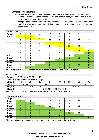- Standard sorting algorithms:
	- **bubble sort:** works by repeatedly comparing adjacent items and swapping them if the first is greater than the second. At the end of each pass, one extra item is in the correct order at the end of the list
	- **merge sort:** works by repeatedly combining sublists (of length 1) to form a sorted list
	- **insertion sort:** works by repeatedly inserting the 'next' item in the sequence into an empty sorted list

| <b>BUBBLE SORT</b>                                                                             |                                                                                                       |                |                                 |                                                                        |                |                                                        |                |                |
|------------------------------------------------------------------------------------------------|-------------------------------------------------------------------------------------------------------|----------------|---------------------------------|------------------------------------------------------------------------|----------------|--------------------------------------------------------|----------------|----------------|
| <b>Original</b>                                                                                | 9                                                                                                     | 5              | 4                               | 15                                                                     | 3              | 8                                                      | 11             | $\overline{2}$ |
| Pass 1                                                                                         | 5                                                                                                     | 9              | 4                               | 15                                                                     | 3              | 8                                                      | 11             | $\overline{2}$ |
|                                                                                                | 5                                                                                                     | $\overline{4}$ | 9                               | 15                                                                     | 3              | 8                                                      | 11             | $\overline{2}$ |
|                                                                                                | 5                                                                                                     | 4              | 9                               | 15                                                                     | 3              | 8                                                      | 11             | $\overline{2}$ |
|                                                                                                | 5                                                                                                     | 4              | 9                               | 3                                                                      | 15             | 8                                                      | 11             | $\overline{2}$ |
|                                                                                                | 5                                                                                                     | 4              | 9                               | 3                                                                      | $\overline{8}$ | 15                                                     | 11             | $\overline{2}$ |
|                                                                                                | 5                                                                                                     | 4              | 9                               | 3                                                                      | 8              | 11                                                     | 15             | $\overline{2}$ |
|                                                                                                | 5                                                                                                     | 4              | 9                               | 3                                                                      | 8              | 11                                                     | $\overline{2}$ | 15             |
|                                                                                                | 5                                                                                                     | 4              | 9                               | 3                                                                      | 8              | 11                                                     | $\overline{2}$ | 15             |
| Pass 2                                                                                         | 4                                                                                                     | 5              | 3                               | 8                                                                      | 9              | $\overline{2}$                                         | 11             | 15             |
| Pass 3                                                                                         | $\overline{4}$                                                                                        | 3              | $5\phantom{.0}$                 | 8                                                                      | $\overline{2}$ | 9                                                      | 11             | 15             |
| Pass 4                                                                                         | 3                                                                                                     | 4              | 5                               | $\overline{2}$                                                         | 8              | 9                                                      | 11             | 15             |
| Pass 5                                                                                         | 3                                                                                                     | 4              | $\overline{2}$                  | 5 <sup>5</sup>                                                         | 8              | 9                                                      | 11             | 15             |
| Pass 6                                                                                         | 3                                                                                                     | $\overline{2}$ | 4                               | 5                                                                      | 8              | 9                                                      | 11             | 15             |
| Pass <sub>7</sub><br>$\Lambda$ for $\Lambda$ $\Lambda$ $\Lambda$ $\Lambda$ $\Lambda$ $\Lambda$ | $\overline{2}$<br>$\mathcal{L}$ $\mathcal{L}$ $\mathcal{L}$ $\mathcal{L}$ $\mathcal{L}$ $\mathcal{L}$ | 3              | 4<br>the company of the Plan to | 5 <sup>5</sup><br>and the contract of<br>the company of the company of | 8<br>1.741     | 9<br>$\mathbf{r}$<br>the committee of the committee of | 11             | 15             |

After a maximum of (n-1) passes the list is sorted, where n is the number of items

| <b>MERGE SORT</b> |  |
|-------------------|--|
|                   |  |

| Original   42, 31, 12, 3, 37, 18, 29, 47                                        |                                             |                 |               |        |  |                |  |  |
|---------------------------------------------------------------------------------|---------------------------------------------|-----------------|---------------|--------|--|----------------|--|--|
| Divide the original list into sublists of length 1                              |                                             |                 |               |        |  |                |  |  |
| Stage 1                                                                         | 37<br>18<br>29<br>47<br>42<br>31<br>2<br>12 |                 |               |        |  |                |  |  |
| <b>Stage 2</b>                                                                  |                                             | 31, 42<br>3, 12 |               | 18, 37 |  | 29, 47         |  |  |
| Stage 3                                                                         |                                             |                 | 3, 12, 31, 42 |        |  | 18, 29, 37, 47 |  |  |
| Stage 4<br>3, 12, 18, 29, 31, 37, 42, 47                                        |                                             |                 |               |        |  |                |  |  |
| After x in $(n = 2x)$ stages the list is sorted, where n is the number of items |                                             |                 |               |        |  |                |  |  |

| <b>INSERTION SORT</b>                                                          |   |   |   |                 |    |    |    |    |
|--------------------------------------------------------------------------------|---|---|---|-----------------|----|----|----|----|
| Original                                                                       |   | 5 |   | 15              | っ  |    | 11 |    |
| Pass 1                                                                         | 9 | 5 |   | 15              |    |    | 11 |    |
| Pass 2                                                                         | 5 | 9 |   | 15              | 3  | 8  | 11 | ົ  |
| Pass 3                                                                         | 4 | 5 | 9 | 15              | ◠  | 8  | 11 |    |
| Pass 4                                                                         | 4 | 5 | 9 | $\overline{15}$ | 3  | 8  | 11 | ົ  |
| Pass 5                                                                         | 3 |   | 5 | 9               | 15 | 8  | 11 |    |
| Pass 6                                                                         | 3 |   | 5 | 8               | 9  | 15 | 11 | 2  |
| Pass <sub>7</sub>                                                              | 3 |   | 5 | 8               | 9  | 11 | 15 |    |
| Pass 8                                                                         | ◠ | 3 |   | 5               | 8  | 9  | 11 | 15 |
| After a maximum of n passes the list is sorted, where n is the number of items |   |   |   |                 |    |    |    |    |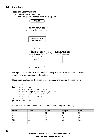#### **2.1 – Algorithms**

- Producing algorithms using:
	- **pseudocode:** refer to section 2.2
	- **flow diagrams:** use the following diagrams



- This specification also tests a candidate's ability to interpret, correct and complete algorithms given appropriate information.
- This program calculates the areas of four triangles and outputs the mean area:

```
total = 0for count = 1 to 4:
     base = input("Enter base: ")
     height = input("Enter height: ")
     value = (base * height) / 2
     total = total + valuenext count
print(total / 4)
```
A trace table records the value of each variable as a program runs, e.g.:

| <b>Total</b>     | <b>Count</b> | <b>Base</b> | <b>Height</b> | <b>Value</b> |
|------------------|--------------|-------------|---------------|--------------|
|                  |              |             | 20            | 100          |
| <u>100</u>       |              |             | O             | 24           |
| $\overline{124}$ | ັ            | 16          | £             | 96           |
| 220              |              | 15          | 40            | 300          |
| 520              |              |             |               |              |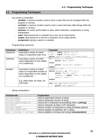#### <span id="page-20-0"></span>**2.2 Programming Techniques**

- Key words to remember:
	- **variable:** a memory location used to store a value that can be changed while the program is running
	- **constant:** a memory location used to store a value that does **not** change while the program is running
	- **operator:** an action performable on data, either arithmetic, comparative or string manipulative
	- **input:** data passed into a computer by a user via an input device
	- **output:** data passed to a user by a computer via an output device
	- **assignment:** giving a value to a variable
- Programming constructs:

| <b>Construct</b> | <b>Definition</b>                | <b>Example</b>                            |
|------------------|----------------------------------|-------------------------------------------|
| Sequence         | executing a series of coded      | $num1 = input$ "Enter $no.1:$ "           |
|                  | steps in a specified order once  | $num2 = input$ "Enter $no.2:$ "           |
|                  |                                  | $print$ num1, "+", num2, "=", (num1+num2) |
| Selection        | executing a series of coded      | if userAns $==$ realAns:                  |
|                  | steps dependant on the validity  | print "Well done!"                        |
|                  | of a condition(s)                | else:                                     |
|                  |                                  | print "Incorrect answer!"                 |
|                  |                                  | endif                                     |
| <b>Iteration</b> | executing a series of coded      | $qoAgain = "Y"$                           |
|                  | steps an unspecified number of   | while goAgain in $[``Y'', 'y'']$ :        |
|                  | times dependant on the validity  | print "Hello, user!"                      |
|                  | of a condition(s)                | goAgain = input "Shall I say hello        |
|                  |                                  | again? $(Y/N)$ : "                        |
|                  | E.g. while loops, for loops, do- | endif                                     |
|                  | until loops                      | for char in "hello world":                |
|                  |                                  | print char.upper()                        |

String manipulation:

| <b>Pseudocode</b>         | <b>Explanation</b>                                        |
|---------------------------|-----------------------------------------------------------|
| string.upper              | returns uppercase version of string                       |
| string. lower             | returns lowercase version of string                       |
| string.subString $(1, 3)$ | returns the 3 characters at (including) index 1 (slicing) |
| string[3]                 | returns character at index 3 (4 <sup>th</sup> character)  |
| string.length             | returns number of characters in string (including spaces) |
| string.index("ab")        | returns position of substring "ab" in string              |
| $res = string1 + string2$ | returns addition of string1 and string2 (concatenation)   |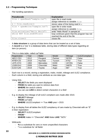#### **2.2 – Programming Techniques**

File handling operations:

| <b>Pseudocode</b>                | <b>Explanation</b>                            |
|----------------------------------|-----------------------------------------------|
| $file = openRead("sample.txt")$  | open file in read mode                        |
|                                  | assign reference to variable file             |
| $x = file.readLine()$            | stores value of line being read in x          |
| $file = openWrite("sample.txt")$ | open file in write mode                       |
|                                  | assign reference to variable file             |
| file.writeLine("Hello World")    | write "Hello World" in sample.txt             |
| while NOT file.endOfFile()       | loop continues given that the program has not |
|                                  | reached the end of the file                   |
| file.close()                     | closes file                                   |

- A **data structure** is a group of data items that can be treated as a set of data.
- A **record** is a 'row' in a database table, storing data of different data types regarding an item (or person).

| THIS IS a uata table, called call lable. |      |                 |         |         |                      |  |  |  |
|------------------------------------------|------|-----------------|---------|---------|----------------------|--|--|--|
| Registration                             | Year | <b>Make</b>     | Model   | Mileage | <b>ULEZCompliant</b> |  |  |  |
| AB <sub>12</sub> CEX                     | 2012 | Peugeot         | Partner | 59783   | False                |  |  |  |
| KF68 KJS                                 | 2018 | Hyundai         | Tucson  | 6752    | True                 |  |  |  |
| <b>L975 HYH</b>                          | 1993 | <b>Mercedes</b> | E200    | 197291  | False                |  |  |  |
| LG08 EHJ                                 | 2008 | Chevrolet       | Matiz   | 34878   | True                 |  |  |  |
| DJ19 SJN                                 | 2019 | Toyota          | Aygo    | 687     | True                 |  |  |  |

- This is a data table, called carTable:

- Each row is a record, storing a registration, make, model, mileage and ULEZ compliance.
- Each column is a field, storing one attribute as one data type.
- Using SQL:
	- **SELECT** *the fields you want displayed*
	- **FROM** *the table you want to retrieve data from*
	- **WHERE** *the search criteria*
	- you can use **LIKE** *to detect certain characters in a field*
- E.g. to display the mileage of all ULEZ compliant cars made after 2015:
	- **SELECT** Mileage
	- **FROM** carTable
	- **WHERE** ULEZCompliant == True **AND** year > 2015
- E.g. to display from all tables the ULEZ compliancy of cars made by Chevrolet with an "E" in their registration:
	- **SELECT** ULEZCompliant
	- **FROM** \*
	- **WHERE** make == "Chevrolet" **AND** Make **LIKE** "%E%"
- Wildcards:
	- **%** is a substitute for zero or more unspecified characters
	- **\*** is a substitute for 'all fields'

**OCR GCSE (9-1) COMPUTER SCIENCE REVISION NOTES**

#### **© RONALDO BUTRUS 2020**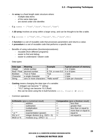- An **array** is a fixed length static structure where:
	- multiple data items
	- of the same data type
	- are stored under one identifier.
- $-$  **E.g.** names  $=$  ["Tom", "Jack", "Rosie", "Sam"]
- A **2D array** involves an array within a larger array, and can be thought to be like a table.
- $E.g. \text{ scores} = [\text{Trom", 99}, \text{TSm", 78}, 78]$ ,  $[\text{Tak", 86}]$
- A **function** is a set of reusable code that processes parameters and returns a value.
- A **procedure** is a set of reusable code that performs a specific task.
- Benefits of using subroutines (functions/procedures):
	- reusable (from different programs)
	- easier to find and debug
	- easier to understand / clearer code
- Data types:

| Data type      | <b>Meaning</b>                | <b>Example</b>                    | <b>Typical amount of memory</b> |
|----------------|-------------------------------|-----------------------------------|---------------------------------|
| Integer        | whole number                  |                                   | 2 or 4 bytes                    |
|                | Real / Float   decimal number | 8.724, or even 8.0   4 or 8 bytes |                                 |
| <b>Boolean</b> | True or False                 | True                              | 1 byte                          |
| Character      | a single character            | "a"                               | 1 byte                          |
| <b>String</b>  | zero or more characters       | "Hello world!"                    | 1 byte per character            |

- **Casting** means changing the data type of a variable:
	- 1 (integer) can become "1" (string)
	- "10.2" (string) can become 10.2 (float)
	- this can be done using the in-built functions  $int()$ ,  $float()$  or  $str()$
- Common operators:

|                      | Arithmetic (give a numerical result) | <b>Comparative</b> (give a Boolean result) |                       |  |
|----------------------|--------------------------------------|--------------------------------------------|-----------------------|--|
|                      | addition                             |                                            | less than             |  |
|                      | subtraction                          |                                            | greater than          |  |
|                      | multiplication                       | $\leq$                                     | less than or equal to |  |
|                      | division                             | $>=$                                       | more than or equal to |  |
| $\wedge$ or $**$     | exponentiation (power)               | $==$                                       | equal to              |  |
| DIV or $\frac{1}{2}$ | integer division (e.g. $10/3 = 3$ )  | $!=$                                       | not equal to          |  |
| MOD or %             | modulus (e.g. $10\%3 = 1$ )          |                                            |                       |  |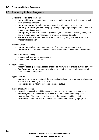#### **2.3 – Producing Robust Programs**

#### <span id="page-23-0"></span>**2.3 Producing Robust Programs**

- Defensive design considerations:
	- input validation: ensuring input is in the acceptable format, including range, length, type, presence and format
	- **input santisation:** 'cleaning up' input by putting it into the format needed
	- **planning for contingencies:** using try…except loops, repeating input etc. to ensure a user's error is corrected
	- **anticipating misuse:** implementing access rights, passwords, masking, encryption etc. to ensure a user cannot misuse a program to access data etc.
	- authentication: ensuring the user is legitimate, using a login or optical, facial or fingerprint recognition
- Maintainability:
	- **comments:** explain nature and purpose of program and its subroutines
	- **indentation:** shows where selection/iteration statements and subroutines start/end
- General purpose of testing:
	- ensures software meets expectations
	- prevents unexpected results
- Types of testing:
	- **iterative testing:** testing a section of code as you write it to ensure it works correctly
	- **final/terminal testing:** testing the entire source code to ensure subroutines work correctly once put together
- Types of errors:
	- **syntax error:** error which break the grammatical rules of the programming language and stops it from being run/translated
	- **logic error:** errors which produce unexpected output
- Types of input for testing:
	- **normal:** data which should be accepted by a program without causing errors
	- **boundary:** data of the correct type which is on the very edge of being valid
	- **invalid:** data of the correct type but outside the accepted validation limit
	- **erroneous:** data of the incorrect type which should be rejected by a program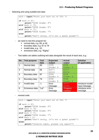Selecting and using suitable test data:

```
mark = input("Enter your mark out of 100: ")
if mark \ge 87:
    print("GCSE Grade: 9")
elif mark >= 79:
    print("GCSE Grade: 8")
elif mark >= 71:
     print("GCSE Grade: 7")
else:
     print("Don't worry, it's not a great grade!")
```
- we need to test this program for:
	- normal data, e.g. 89, or 65
	- boundary data, e.g. 87 or 79
	- invalid data, e.g. -10
	- erroneous data, e.g. "Eighty"
- Test tables are tables outlining test data alongside the result of each test, e.g.:

| No.            | <b>Test purpose</b> | <b>Test</b><br>data | <b>Expected</b><br>output | <b>Actual</b><br>output | <b>Solution</b><br>(if applicable) |
|----------------|---------------------|---------------------|---------------------------|-------------------------|------------------------------------|
| 1              | Normal data         | 89                  | GCSE                      | <b>GCSE</b>             |                                    |
|                |                     |                     | Grade: 9                  | Grade: 9                |                                    |
| 2              | Normal data         | 65                  | Don't                     | Don't                   |                                    |
|                |                     |                     | worry                     | worry                   |                                    |
| 3              | Boundary data       | 87                  | <b>GCSE</b>               | <b>GCSE</b>             |                                    |
|                |                     |                     | Grade: 9                  | Grade: 9                |                                    |
| $\overline{4}$ | Boundary data       | 79                  | GCSE                      | <b>GCSE</b>             |                                    |
|                |                     |                     | Grade: 8                  | Grade: 8                |                                    |
| 5              | Invalid data        | $-1$                | Error                     | Don't                   | Introduce invalid                  |
|                |                     |                     | message                   | worry                   | input message                      |
| 6              | Erroneous data      | "Lol"               | Error                     | *Program                | Introduce error                    |
|                |                     |                     | message                   | crashes*                | message                            |

- revised code:

```
mark = input("Enter your mark out of 100: ")
if mark \ge 87:
    print("GCSE Grade: 9")
elif mark >= 79:
     print("GCSE Grade: 8")
elif mark >= 71:
    print("GCSE Grade: 7")
elif mark < 71:
     print("Don't worry, it's not a great grade!")
else:
     print("Invalid input, please try again!")
```

```
OCR GCSE (9-1) COMPUTER SCIENCE REVISION NOTES
       © RONALDO BUTRUS 2020
```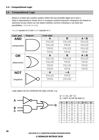#### **2.4 – Computational Logic**

#### <span id="page-25-0"></span>**2.4 Computational Logic**

- Binary is a base two number system where the two possible digits are 0 and 1.
- Data is represented in binary form in computer systems because computers are based on electrical circuits where we can detect whether current is flowing or not (only two possibilities, TRUE or FALSE).

| Logic gate    | <b>Diagram</b> | <b>Truth table</b> |          |              |
|---------------|----------------|--------------------|----------|--------------|
| <b>AND</b>    |                | A                  | B        | $A \wedge B$ |
|               |                | FALSE              | FALSE    | FALSE        |
| (conjunction) |                | FALSE              | TRUE     | FALSE        |
|               |                | TRUE               | FALSE    | FALSE        |
|               |                | TRUE               | TRUE     | TRUE         |
| <b>OR</b>     |                | A                  | B        | $A \vee B$   |
|               |                | FALSE              | FALSE    | FALSE        |
| (disjunction) |                | FALSE              | TRUE     | TRUE         |
|               |                | TRUE               | FALSE    | TRUE         |
|               |                | TRUE               | TRUE     | TRUE         |
| <b>NOT</b>    |                | A                  | $\neg$ A |              |
|               |                | FALSE              | TRUE     |              |
| (negation)    |                | TRUE               | FALSE    |              |
|               |                |                    |          |              |
|               |                |                    |          |              |

- FALSE equates to 0 and TRUE equates to 1.

- Logic gates can be combined into logic circuits, e.g.



$$
Q = (\neg A) \vee (B \wedge C)
$$
  
Q = (NOT A) OR (B AND C)

| A        | B | $\mathbf C$ | $\neg A$ | B ^ C | Q |
|----------|---|-------------|----------|-------|---|
| $\Omega$ |   |             |          |       |   |
| 0        |   |             |          |       |   |
| 0        |   |             |          |       |   |
|          |   |             |          |       |   |
|          |   |             |          |       |   |
|          |   |             |          |       |   |
|          |   |             |          |       |   |
|          |   |             |          |       |   |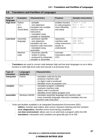#### <span id="page-26-0"></span>**2.5 Translators and Facilities of Languages**

| Type of           | <b>Examples</b>     | <b>Characteristics</b>     | <b>Purpose</b>      | <b>Sample instructions</b> |
|-------------------|---------------------|----------------------------|---------------------|----------------------------|
| language          |                     |                            |                     |                            |
| <b>High-level</b> | Python              | - portable                 | enables humans      | rate = $3.02$              |
|                   | C++                 | - one statement            | to code programs    | $hrs = 15$                 |
|                   | Java                | translates into multiple   | more efficiently    | $pay = rate * hrs$         |
|                   | <b>Visual Basic</b> | machine code               | and easily          |                            |
|                   |                     | instructions               |                     |                            |
|                   |                     | - translated using         |                     |                            |
|                   |                     | compiler or interpreter    |                     |                            |
| <b>Low-level</b>  | Assembly            | - processor-specific       | represents          | STO & 39FC                 |
|                   | language            | - one statement            | machine code        | $LDA$ #34                  |
|                   |                     | translates into one        | using mnemonics     | ADD & 4F3A                 |
|                   |                     | machine code instruction   | (easier to          |                            |
|                   |                     | - translated using         | understand)         |                            |
|                   |                     | assembler                  |                     |                            |
|                   | Machine             | - processor-specific       | executes            | 0011111101010110           |
|                   | code                | - written in binary        | instructions within | 1010001110101011           |
|                   |                     | - produced by interpreter, | <b>CPU</b>          |                            |
|                   |                     | compiler or assembler      |                     |                            |

**Translators** are used to convert code between high and low level languages so as to allow humans to write high-level code and execute it at processor level.

| Type of<br>translator | Languages<br>using this | <b>Characteristics</b>                                    |
|-----------------------|-------------------------|-----------------------------------------------------------|
| interpreter           | Python                  | - translates code line by line                            |
|                       |                         | - produces machine code                                   |
|                       |                         | - no object code is produced                              |
|                       |                         | - identifies errors as program runs                       |
| compiler              | $C++$                   | - translates program completely                           |
|                       |                         | - produces machine code                                   |
|                       |                         | - object code is produced                                 |
|                       |                         | - identifies errors before program runs                   |
| assembler             | Windows MASM            | - translates assembly language into machine code          |
|                       |                         | - every assembly language instruction translates into one |
|                       |                         | machine code instruction                                  |

- Tools and facilities available in an Integrated Development Environment (IDE):
	- **editors:** includes auto-indent, auto-correct, keyword colouring and line numbers
	- **error diagnostics:** identifies errors found during compilation
	- **run-time environment:** allows user to run (and test) a program within the IDE
	- **translators:** interpreters and compilers are generally part of an IDE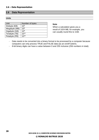#### <span id="page-27-0"></span>**2.6 Data Representation**

#### **Units**

| Unit          | Number of bytes |
|---------------|-----------------|
| Kilobyte (KB) | 10 <sup>3</sup> |
| Megabyte (MB) | 10 <sup>6</sup> |
| Gigabyte (GB) | 10 <sup>9</sup> |
| Terabyte (TB) | $10^{12}$       |
| Petabyte (PB) | $10^{15}$       |

#### **Note**

When a calculation gives you a result of 1024 MB, for example, you can usually round this to 1GB.

- Data needs to be converted into a binary format to be processed by a computer because computers can only process TRUE and FALSE data (as an on/off switch).
- 8-bit binary digits can have a value between 0 and 255 inclusive (256 numbers in total).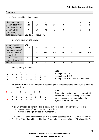#### **Numbers**

Converting binary into denary:

| Binary number       |                                 |    |    |    |  |  |  |  |
|---------------------|---------------------------------|----|----|----|--|--|--|--|
| Denary equivalent   | 128                             | 64 | 32 | 16 |  |  |  |  |
| (for this position) |                                 |    |    |    |  |  |  |  |
| Denary value        |                                 | 64 | 32 |    |  |  |  |  |
| (for this bit)      |                                 |    |    |    |  |  |  |  |
| Total denary value  | <b>109</b> (total of above row) |    |    |    |  |  |  |  |

Converting denary into binary:

| Denary number       | 179 |           |     |     |           |    |     |     |
|---------------------|-----|-----------|-----|-----|-----------|----|-----|-----|
| Denary equivalent   | 128 | 64        | 32  | 16  |           |    |     |     |
| (for each position) |     |           |     |     |           |    |     |     |
| Does the number     | Yes | <b>No</b> | Yes | Yes | <b>No</b> | No | Yes | Yes |
| fit into this?      |     |           |     |     |           |    |     |     |
| If so, subtract     | 51  | 51        | 19  | 3   | 3         | 3  |     |     |
| number from total   |     |           |     |     |           |    |     |     |
| <b>Binary</b>       |     | 0         |     |     |           |    |     |     |

Adding binary numbers:

|  |  |                              | $\begin{array}{ccc} & 1 & 1 \end{array}$ |  |  |
|--|--|------------------------------|------------------------------------------|--|--|
|  |  | 1 0 0 1 0 1 0 0              |                                          |  |  |
|  |  | 0 1 0 1 1 1 0 1 <sup>+</sup> |                                          |  |  |
|  |  | 1 1 1 1 0 0 0 1              |                                          |  |  |

#### **Note** Adding 0 and  $0 \rightarrow 0$ Adding 0 and 1  $\rightarrow$  1 Adding 1 and 1  $\rightarrow$  0 with 1 carried over

- An **overflow error** is when there are not enough bits to represent the number, so a ninth bit is needed, e.g.:

| 1 1 1 1 1 1 1 1   |  |  |                              |  |
|-------------------|--|--|------------------------------|--|
|                   |  |  | 1 1 0 1 0 1 0 1              |  |
|                   |  |  | 0 1 0 1 1 1 1 1 <sup>+</sup> |  |
| 1 0 0 1 1 0 1 0 0 |  |  |                              |  |

#### **Note**

If you get a question that asks for an 8-bit answer but ends up causing an overflow error, make sure you only include the eight bits and **not** the ninth.

- A binary shift can be performed on a binary number to either multiply or divide it by 2:
	- moving to the left multiplies the number by 2
	- moving to the right divides the number by 2
- E.g. 0000 1111 after a binary shift left of two places becomes 0011 1100 (multiplied by 4)
- E.g. 1110 1100 after a binary shift right of three places becomes 00011101 (divided by 6)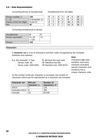#### **2.6 – Data Representation**

Converting denary to hexadecimal: Hexadecimal (0 to 16) digits:

| Denary number, n         | 156            |        |             |  | 4 |  |   | ィク | ⌒ |
|--------------------------|----------------|--------|-------------|--|---|--|---|----|---|
| $n \div 16$              | 9 remainder 12 |        |             |  | 5 |  |   | 13 |   |
| Values of two hex digits | 9 and 12       | ◠      | $\sqrt{2}$  |  | 6 |  |   | 14 |   |
| Hex                      | 9C             | າ<br>J | $\sim$<br>N |  |   |  | B | 15 |   |

| 0 |   |   |   |    | 8 | 12 <sub>2</sub> | С |
|---|---|---|---|----|---|-----------------|---|
| 4 |   |   |   |    | 9 | 13              | D |
| 2 | r | ճ | 6 | 10 |   | 14              | E |
| 3 | я |   |   |    | B | 15              | ᄃ |

Converting hexadecimal to denary:

| Hexadecimal       |               |    |
|-------------------|---------------|----|
| Denary equivalent | $8 \times 16$ | 15 |
|                   | $= 128$       |    |
| Denary            | 153           |    |

#### **Characters**

- A **character set** is a list of characters and their codes recognised by the computer hardware and software.
- E.g. the character 'A' has: 'B' will have the next code
	- denary code: 65 ('B' therefore has 66)
	-
- 
- 
- binary code: 1000 0001 ('B' therefore has 1000 0010)

#### **Note**

Characters **are** casesensitive, and every character (including special characters and numbers) has a unique character code.

As the number of bits per character is increased, the number of characters which can be represented by a character set increases:

| <b>Character set</b>  | <b>Bits per</b><br>character, n | <b>Number of</b><br>characters, 2 <sup>n</sup> |
|-----------------------|---------------------------------|------------------------------------------------|
| <b>ASCII</b>          |                                 | 128                                            |
| <b>Extended ASCII</b> | R                               | 256                                            |
| Unicode               | 16                              | 65 536                                         |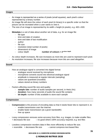#### **Images**

- An image is represented as a series of pixels (small squares), each pixel's colour represented by a binary number.
- An image file will store the colour of each pixel (in binary) in a specific order so that the picture can be recreated when a user wants to view it.
- The size of an image is represented by its width x height (in pixels), e.g. 400 x 600.
- **Metadata** is a set of data about another set of data, e.g. for an image file:
	- file type
	- time and date of creation
	- time and date of last modification
	- author
	- file size
	- resolution (total number of pixels)
	- dimensions of image
	- colour depth **number of colours = 2colour depth**
- As colour depth increases, file size increases as more bits are used to represent each pixel.
- As resolution increases, file size increases because more bits are used altogether.

#### **Sound**

- How an analogue signal is converted into digital format:
	- analogue sound received by microphone
	- microphone converts sound into electrical analogue signal
	- amplitude is measured at regular intervals (sampling)
	- values are quantised (rounded)
	- values stored as binary numbers
- Factors affecting sound file size and quality:
	- sample rate: number of audio samples per second, in Hertz (Hz)
	- **duration:** how many seconds of audio the sound file contains
	- **bit depth:** number of bits available to store each sample

#### **Compression**

- **Compression** is the process of encoding data so that it needs fewer bits to represent it, to:
	- enable transmission over the Internet
	- enable faster transmission (at a given bandwidth)
	- free up space
- Lossy compression removes some accuracy from files, e.g. images, to make smaller files. + decreases file size – no good where 100% accuracy required, e.g. text files
- Lossless compression reorders data in files more efficiently to reduce file size. + reversible + decreases file size – cannot compress text-based files

**OCR GCSE (9-1) COMPUTER SCIENCE REVISION NOTES © RONALDO BUTRUS 2020**